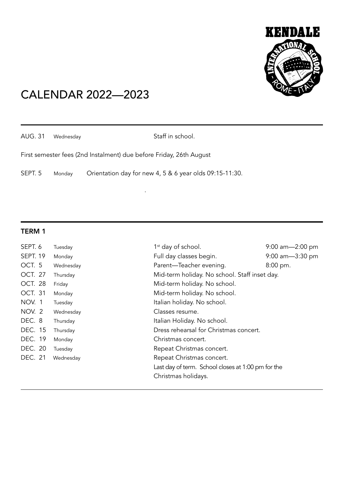

# CALENDAR 2022—2023

**.** The contract of the contract of the contract of the contract of the contract of the contract of the contract of

AUG. 31 Wednesday Staff in school.

First semester fees (2nd Instalment) due before Friday, 26th August

SEPT. 5 Monday Orientation day for new 4, 5 & 6 year olds 09:15-11:30.

### TERM 1

| SEPT. 6         | Tuesday   | $1st$ day of school.                               | $9:00$ am $-2:00$ pm |
|-----------------|-----------|----------------------------------------------------|----------------------|
| <b>SEPT. 19</b> | Monday    | Full day classes begin.                            | $9:00$ am $-3:30$ pm |
| OCT. 5          | Wednesday | Parent-Teacher evening.                            | 8:00 pm.             |
| OCT. 27         | Thursday  | Mid-term holiday. No school. Staff inset day.      |                      |
| <b>OCT. 28</b>  | Friday    | Mid-term holiday. No school.                       |                      |
| <b>OCT. 31</b>  | Monday    | Mid-term holiday. No school.                       |                      |
| NOV. 1          | Tuesday   | Italian holiday. No school.                        |                      |
| NOV. 2          | Wednesday | Classes resume.                                    |                      |
| DEC. 8          | Thursday  | Italian Holiday. No school.                        |                      |
| <b>DEC. 15</b>  | Thursday  | Dress rehearsal for Christmas concert.             |                      |
| DEC. 19         | Monday    | Christmas concert.                                 |                      |
| DEC. 20         | Tuesday   | Repeat Christmas concert.                          |                      |
| <b>DEC. 21</b>  | Wednesday | Repeat Christmas concert.                          |                      |
|                 |           | Last day of term. School closes at 1:00 pm for the |                      |
|                 |           | Christmas holidays.                                |                      |